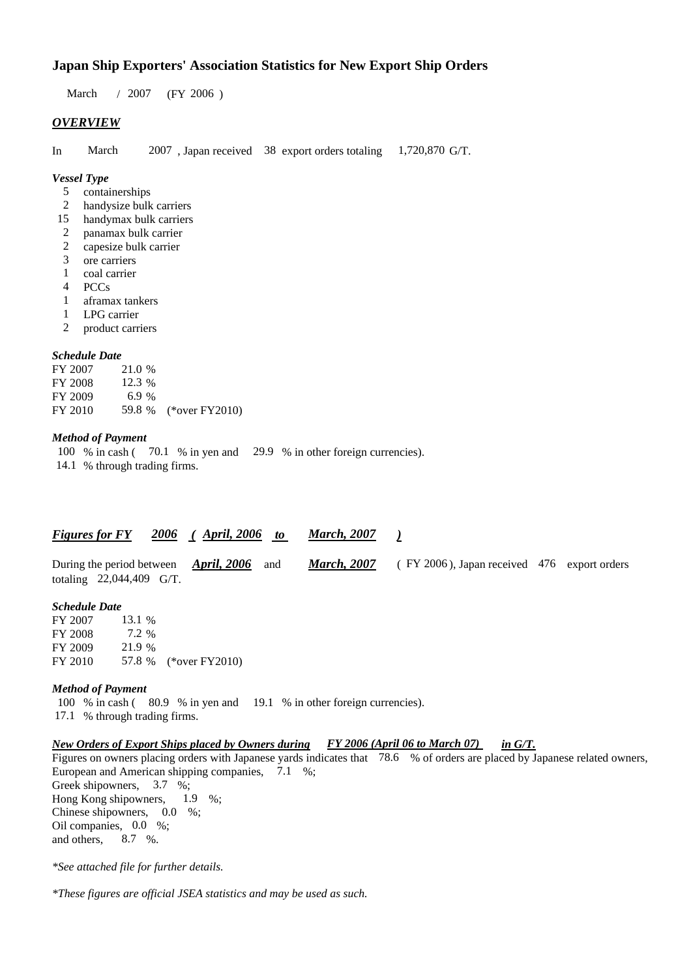# **Japan Ship Exporters' Association Statistics for New Export Ship Orders**

 $/ 2007$  (FY 2006) March / 2007

# *OVERVIEW*

In March 2007, Japan received 38 export orders totaling 1,720,870 G/T.

#### *Vessel Type*

- containerships 5
- handysize bulk carriers 2
- handymax bulk carriers 15
- panamax bulk carrier 2
- capesize bulk carrier 2
- ore carriers 3
- coal carrier 1
- PCCs 4
- aframax tankers 1
- LPG carrier 1
- product carriers 2

#### *Schedule Date*

FY 2007 FY 2008 FY 2009 FY 2010 59.8 % (\*over FY 2010) 12.3 % 21.0 % 6.9 %

#### *Method of Payment*

100 % in cash (70.1 % in yen and 29.9 % in other foreign currencies).

14.1 % through trading firms.

## *Figures for FY* 2006 (April, 2006 *to* March, 2007)

|                            | During the period between $\frac{April, 2006}{}$ and |  | <b>March, 2007</b> (FY 2006), Japan received 476 export orders |  |
|----------------------------|------------------------------------------------------|--|----------------------------------------------------------------|--|
| totaling $22,044,409$ G/T. |                                                      |  |                                                                |  |

#### *Schedule Date*

FY 2007 FY 2008 FY 2009 FY 2010 57.8 % (\*over FY2010) 13.1 % 21.9 % 57.8 7.2

#### *Method of Payment*

100 % in cash (80.9 % in yen and 19.1 % in other foreign currencies). 17.1 % through trading firms.

#### *New Orders of Export Ships placed by Owners during FY 2006 (April 06 to March 07) in G/T. FY 2006 (April 06 to March 07)*

Figures on owners placing orders with Japanese yards indicates that 78.6 % of orders are placed by Japanese related owners, European and American shipping companies,  $7.1\%$ ; Greek shipowners, 3.7 %;

Hong Kong shipowners, Chinese shipowners,  $0.0\%$ ; Oil companies,  $0.0\%$ ; and others. 8.7 %.  $1.9\%$ 

*\*See attached file for further details.*

*\*These figures are official JSEA statistics and may be used as such.*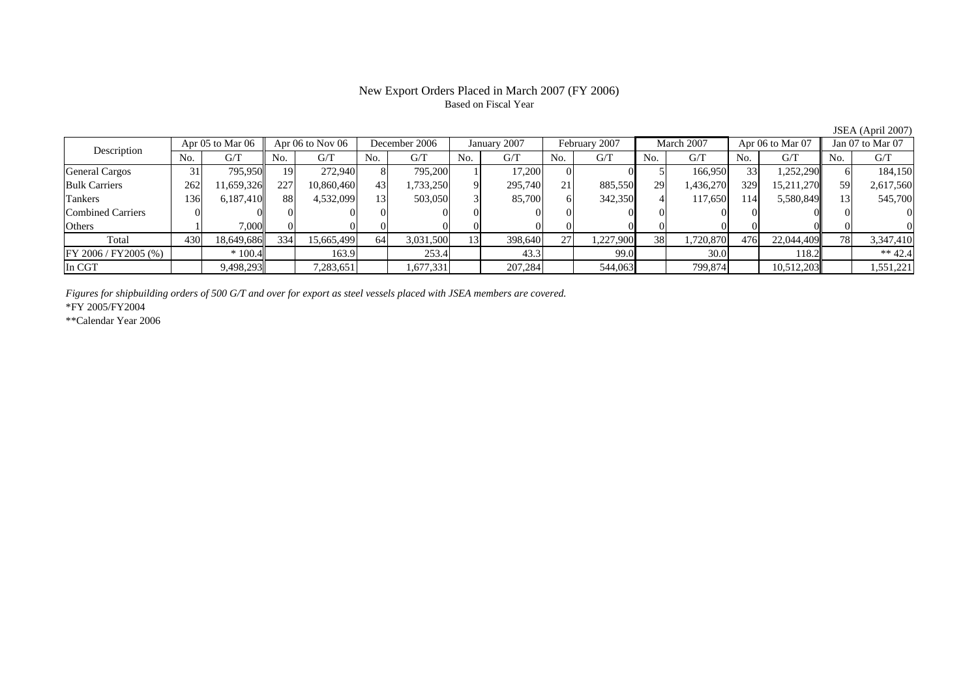## New Export Orders Placed in March 2007 (FY 2006) Based on Fiscal Year

No. G/T No. G/T No. G/T No. G/T No. G/T No. G/T No. G/T No. G/TGeneral Cargos | 31| 795,950|| 19| 272,940| 8| 795,200| 1| 17,200| 0| 5| 166,950| 33| 1,252,290|| 6| 184,150 Bulk Carriers | 262 | 11,659,326 | 227 | 10,860,460 | 43 | 1,733,250 | 9 | 295,740 | 21 885,550 | 29 | 1,436,270 | 329 | 15,211,270 || 59 2,617,560 Tankers | 136| 6,187,410|| 88| 4,532,099| 13| 503,050| 3| 85,700| 6| 342,350| 4| 117,650| 114| 5,580,849|| 13| 545,700 Combined Carriers 0 0 0 0 0 0 0 0 0 0 0 0 0 0 0 0Others | 1 | 7,000 || 0 || 0 || 0 || 0 || 0 || 0 || 0 || 0 || 0 || 0 || 0 || 0 Total 430 18,649,686 334 15,665,499 64 3,031,500 13 398,640 27 1,227,900 38 1,720,870 476 22,044,409 78 3,347,410 FY 2006 / FY2005 (%) \* 100.4 163.9 253.4 43.3 99.0 30.0 118.2 \*\* 42.4 In CGT | | 9,498,293|| | 7,283,651| | 1,677,331| | 207,284| | 544,063| | 799,874| | 10,512,203|| | 1,551,221 Description Apr 05 to Mar 06 Apr 06 to Nov 06 December 2006 January 2007 February 2007 March 2007 Apr 06 to Mar 07 Jan 07 to Mar 07

*Figures for shipbuilding orders of 500 G/T and over for export as steel vessels placed with JSEA members are covered.*

\*FY 2005/FY2004

\*\*Calendar Year 2006

JSEA (April 2007)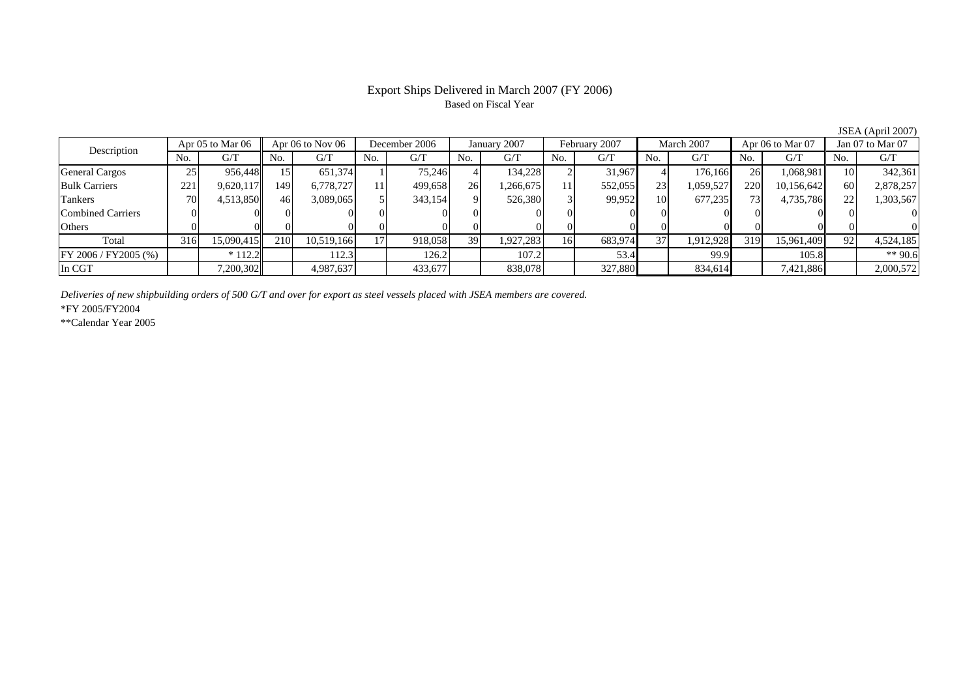# Export Ships Delivered in March 2007 (FY 2006) Based on Fiscal Year

JSEA (April 2007)

| Description           | Apr 05 to Mar 06 |            | Apr $06$ to Nov $06$ |            | December 2006  |         | January 2007 |           | February 2007 |         | March 2007 |           | Apr 06 to Mar 07 |            | Jan $07$ to Mar $07$ |           |
|-----------------------|------------------|------------|----------------------|------------|----------------|---------|--------------|-----------|---------------|---------|------------|-----------|------------------|------------|----------------------|-----------|
|                       | No.              | G/T        | No.                  | G/T        | N <sub>0</sub> | G/T     | No.          | G/T       | No.           | G/T     | No.        | G/T       | No.              | G/T        | No.                  | G/T       |
| <b>General Cargos</b> | 25               | 956,448    |                      | 651.374    |                | 75.246  |              | 134,228   |               | 31,967  |            | 176,166   | 26               | 1,068,981  | 10                   | 342,361   |
| <b>Bulk Carriers</b>  | 221              | 9,620,117  | 149                  | 6,778,727  |                | 499,658 | 26           | 1,266,675 | 11            | 552,055 | 23         | 1,059,527 | 220              | 10,156,642 | 60                   | 2,878,257 |
| Tankers               | 70               | 4,513,850  | 46                   | 3,089,065  |                | 343,154 | $\mathbf Q$  | 526,380   |               | 99,952  | 10         | 677,235   | 73 I             | 4,735,786  | $\mathcal{D}$        | 1,303,567 |
| Combined Carriers     |                  |            |                      |            |                |         |              |           |               |         |            |           |                  |            |                      |           |
| Others                |                  |            |                      |            |                |         |              |           |               |         |            |           |                  |            |                      |           |
| Total                 | 316              | 15,090,415 | 210                  | 10,519,166 | 17             | 918,058 | 39           | 1,927,283 | 16            | 683,974 | 37         | 1,912,928 | 319              | 15,961,409 | 92                   | 4,524,185 |
| FY 2006 / FY 2005 (%) |                  | $*112.2$   |                      | 112.3      |                | 126.2   |              | 107.2     |               | 53.4    |            | 99.9      |                  | 105.8      |                      | $*$ 90.6  |
| In CGT                |                  | 7,200,302  |                      | 4,987,637  |                | 433,677 |              | 838,078   |               | 327,880 |            | 834,614   |                  | 7,421,886  |                      | 2,000,572 |

*Deliveries of new shipbuilding orders of 500 G/T and over for export as steel vessels placed with JSEA members are covered.*

\*FY 2005/FY2004

\*\*Calendar Year 2005